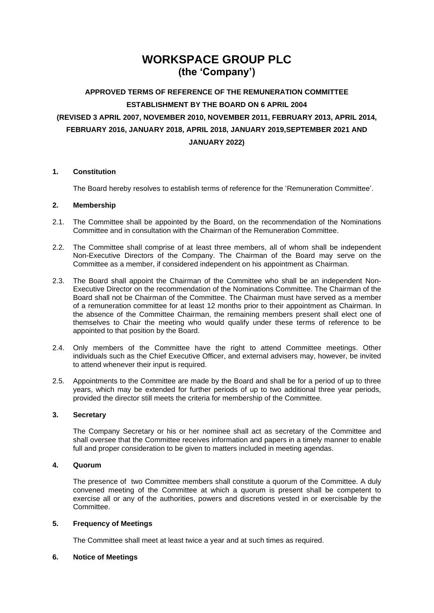# **WORKSPACE GROUP PLC (the 'Company')**

## **APPROVED TERMS OF REFERENCE OF THE REMUNERATION COMMITTEE ESTABLISHMENT BY THE BOARD ON 6 APRIL 2004 (REVISED 3 APRIL 2007, NOVEMBER 2010, NOVEMBER 2011, FEBRUARY 2013, APRIL 2014, FEBRUARY 2016, JANUARY 2018, APRIL 2018, JANUARY 2019,SEPTEMBER 2021 AND JANUARY 2022)**

## **1. Constitution**

The Board hereby resolves to establish terms of reference for the 'Remuneration Committee'.

## **2. Membership**

- 2.1. The Committee shall be appointed by the Board, on the recommendation of the Nominations Committee and in consultation with the Chairman of the Remuneration Committee.
- 2.2. The Committee shall comprise of at least three members, all of whom shall be independent Non-Executive Directors of the Company. The Chairman of the Board may serve on the Committee as a member, if considered independent on his appointment as Chairman.
- 2.3. The Board shall appoint the Chairman of the Committee who shall be an independent Non-Executive Director on the recommendation of the Nominations Committee. The Chairman of the Board shall not be Chairman of the Committee. The Chairman must have served as a member of a remuneration committee for at least 12 months prior to their appointment as Chairman. In the absence of the Committee Chairman, the remaining members present shall elect one of themselves to Chair the meeting who would qualify under these terms of reference to be appointed to that position by the Board.
- 2.4. Only members of the Committee have the right to attend Committee meetings. Other individuals such as the Chief Executive Officer, and external advisers may, however, be invited to attend whenever their input is required.
- 2.5. Appointments to the Committee are made by the Board and shall be for a period of up to three years, which may be extended for further periods of up to two additional three year periods, provided the director still meets the criteria for membership of the Committee.

## **3. Secretary**

The Company Secretary or his or her nominee shall act as secretary of the Committee and shall oversee that the Committee receives information and papers in a timely manner to enable full and proper consideration to be given to matters included in meeting agendas.

## **4. Quorum**

The presence of two Committee members shall constitute a quorum of the Committee. A duly convened meeting of the Committee at which a quorum is present shall be competent to exercise all or any of the authorities, powers and discretions vested in or exercisable by the Committee.

## **5. Frequency of Meetings**

The Committee shall meet at least twice a year and at such times as required.

## **6. Notice of Meetings**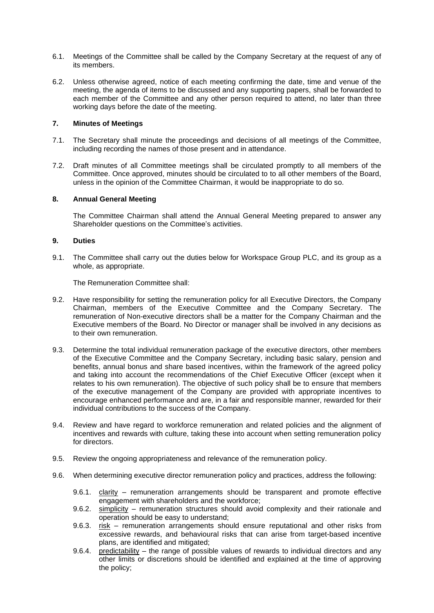- 6.1. Meetings of the Committee shall be called by the Company Secretary at the request of any of its members.
- 6.2. Unless otherwise agreed, notice of each meeting confirming the date, time and venue of the meeting, the agenda of items to be discussed and any supporting papers, shall be forwarded to each member of the Committee and any other person required to attend, no later than three working days before the date of the meeting.

## **7. Minutes of Meetings**

- 7.1. The Secretary shall minute the proceedings and decisions of all meetings of the Committee, including recording the names of those present and in attendance.
- 7.2. Draft minutes of all Committee meetings shall be circulated promptly to all members of the Committee. Once approved, minutes should be circulated to to all other members of the Board, unless in the opinion of the Committee Chairman, it would be inappropriate to do so.

#### **8. Annual General Meeting**

The Committee Chairman shall attend the Annual General Meeting prepared to answer any Shareholder questions on the Committee's activities.

#### **9. Duties**

9.1. The Committee shall carry out the duties below for Workspace Group PLC, and its group as a whole, as appropriate.

The Remuneration Committee shall:

- 9.2. Have responsibility for setting the remuneration policy for all Executive Directors, the Company Chairman, members of the Executive Committee and the Company Secretary. The remuneration of Non-executive directors shall be a matter for the Company Chairman and the Executive members of the Board. No Director or manager shall be involved in any decisions as to their own remuneration.
- 9.3. Determine the total individual remuneration package of the executive directors, other members of the Executive Committee and the Company Secretary, including basic salary, pension and benefits, annual bonus and share based incentives, within the framework of the agreed policy and taking into account the recommendations of the Chief Executive Officer (except when it relates to his own remuneration). The objective of such policy shall be to ensure that members of the executive management of the Company are provided with appropriate incentives to encourage enhanced performance and are, in a fair and responsible manner, rewarded for their individual contributions to the success of the Company.
- 9.4. Review and have regard to workforce remuneration and related policies and the alignment of incentives and rewards with culture, taking these into account when setting remuneration policy for directors.
- 9.5. Review the ongoing appropriateness and relevance of the remuneration policy.
- 9.6. When determining executive director remuneration policy and practices, address the following:
	- 9.6.1. clarity remuneration arrangements should be transparent and promote effective engagement with shareholders and the workforce;
	- 9.6.2. simplicity remuneration structures should avoid complexity and their rationale and operation should be easy to understand;
	- 9.6.3. risk remuneration arrangements should ensure reputational and other risks from excessive rewards, and behavioural risks that can arise from target-based incentive plans, are identified and mitigated;
	- 9.6.4. predictability the range of possible values of rewards to individual directors and any other limits or discretions should be identified and explained at the time of approving the policy;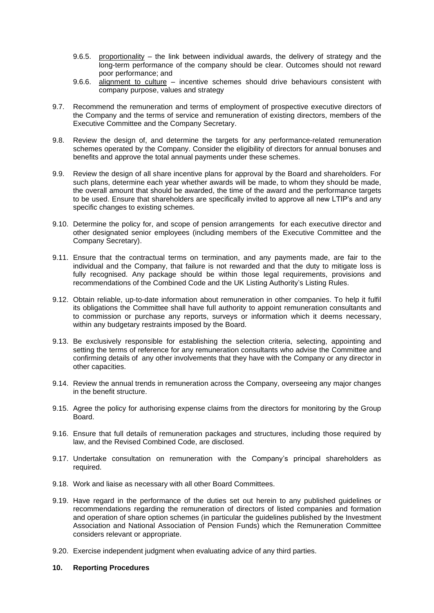- 9.6.5. proportionality the link between individual awards, the delivery of strategy and the long-term performance of the company should be clear. Outcomes should not reward poor performance; and
- 9.6.6. alignment to culture incentive schemes should drive behaviours consistent with company purpose, values and strategy
- 9.7. Recommend the remuneration and terms of employment of prospective executive directors of the Company and the terms of service and remuneration of existing directors, members of the Executive Committee and the Company Secretary.
- 9.8. Review the design of, and determine the targets for any performance-related remuneration schemes operated by the Company. Consider the eligibility of directors for annual bonuses and benefits and approve the total annual payments under these schemes.
- 9.9. Review the design of all share incentive plans for approval by the Board and shareholders. For such plans, determine each year whether awards will be made, to whom they should be made, the overall amount that should be awarded, the time of the award and the performance targets to be used. Ensure that shareholders are specifically invited to approve all new LTIP's and any specific changes to existing schemes.
- 9.10. Determine the policy for, and scope of pension arrangements for each executive director and other designated senior employees (including members of the Executive Committee and the Company Secretary).
- 9.11. Ensure that the contractual terms on termination, and any payments made, are fair to the individual and the Company, that failure is not rewarded and that the duty to mitigate loss is fully recognised. Any package should be within those legal requirements, provisions and recommendations of the Combined Code and the UK Listing Authority's Listing Rules.
- 9.12. Obtain reliable, up-to-date information about remuneration in other companies. To help it fulfil its obligations the Committee shall have full authority to appoint remuneration consultants and to commission or purchase any reports, surveys or information which it deems necessary, within any budgetary restraints imposed by the Board.
- 9.13. Be exclusively responsible for establishing the selection criteria, selecting, appointing and setting the terms of reference for any remuneration consultants who advise the Committee and confirming details of any other involvements that they have with the Company or any director in other capacities.
- 9.14. Review the annual trends in remuneration across the Company, overseeing any major changes in the benefit structure.
- 9.15. Agree the policy for authorising expense claims from the directors for monitoring by the Group Board.
- 9.16. Ensure that full details of remuneration packages and structures, including those required by law, and the Revised Combined Code, are disclosed.
- 9.17. Undertake consultation on remuneration with the Company's principal shareholders as required.
- 9.18. Work and liaise as necessary with all other Board Committees.
- 9.19. Have regard in the performance of the duties set out herein to any published guidelines or recommendations regarding the remuneration of directors of listed companies and formation and operation of share option schemes (in particular the guidelines published by the Investment Association and National Association of Pension Funds) which the Remuneration Committee considers relevant or appropriate.
- 9.20. Exercise independent judgment when evaluating advice of any third parties.
- **10. Reporting Procedures**